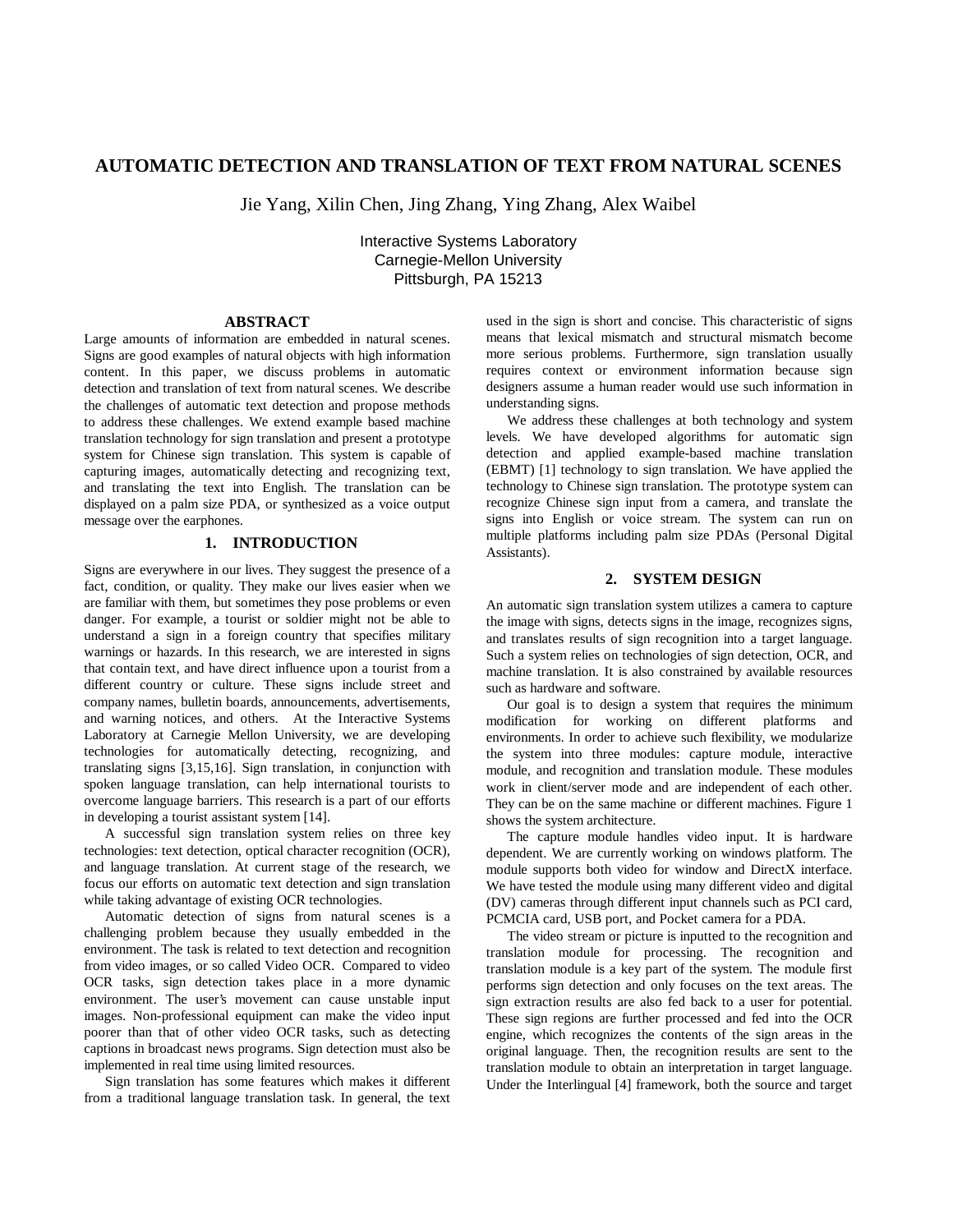# **AUTOMATIC DETECTION AND TRANSLATION OF TEXT FROM NATURAL SCENES**

Jie Yang, Xilin Chen, Jing Zhang, Ying Zhang, Alex Waibel

Interactive Systems Laboratory Carnegie-Mellon University Pittsburgh, PA 15213

### **ABSTRACT**

Large amounts of information are embedded in natural scenes. Signs are good examples of natural objects with high information content. In this paper, we discuss problems in automatic detection and translation of text from natural scenes. We describe the challenges of automatic text detection and propose methods to address these challenges. We extend example based machine translation technology for sign translation and present a prototype system for Chinese sign translation. This system is capable of capturing images, automatically detecting and recognizing text, and translating the text into English. The translation can be displayed on a palm size PDA, or synthesized as a voice output message over the earphones.

# **1. INTRODUCTION**

Signs are everywhere in our lives. They suggest the presence of a fact, condition, or quality. They make our lives easier when we are familiar with them, but sometimes they pose problems or even danger. For example, a tourist or soldier might not be able to understand a sign in a foreign country that specifies military warnings or hazards. In this research, we are interested in signs that contain text, and have direct influence upon a tourist from a different country or culture. These signs include street and company names, bulletin boards, announcements, advertisements, and warning notices, and others. At the Interactive Systems Laboratory at Carnegie Mellon University, we are developing technologies for automatically detecting, recognizing, and translating signs [3,15,16]. Sign translation, in conjunction with spoken language translation, can help international tourists to overcome language barriers. This research is a part of our efforts in developing a tourist assistant system [14].

A successful sign translation system relies on three key technologies: text detection, optical character recognition (OCR), and language translation. At current stage of the research, we focus our efforts on automatic text detection and sign translation while taking advantage of existing OCR technologies.

Automatic detection of signs from natural scenes is a challenging problem because they usually embedded in the environment. The task is related to text detection and recognition from video images, or so called Video OCR. Compared to video OCR tasks, sign detection takes place in a more dynamic environment. The user's movement can cause unstable input images. Non-professional equipment can make the video input poorer than that of other video OCR tasks, such as detecting captions in broadcast news programs. Sign detection must also be implemented in real time using limited resources.

Sign translation has some features which makes it different from a traditional language translation task. In general, the text used in the sign is short and concise. This characteristic of signs means that lexical mismatch and structural mismatch become more serious problems. Furthermore, sign translation usually requires context or environment information because sign designers assume a human reader would use such information in understanding signs.

We address these challenges at both technology and system levels. We have developed algorithms for automatic sign detection and applied example-based machine translation (EBMT) [1] technology to sign translation. We have applied the technology to Chinese sign translation. The prototype system can recognize Chinese sign input from a camera, and translate the signs into English or voice stream. The system can run on multiple platforms including palm size PDAs (Personal Digital Assistants).

#### **2. SYSTEM DESIGN**

An automatic sign translation system utilizes a camera to capture the image with signs, detects signs in the image, recognizes signs, and translates results of sign recognition into a target language. Such a system relies on technologies of sign detection, OCR, and machine translation. It is also constrained by available resources such as hardware and software.

Our goal is to design a system that requires the minimum modification for working on different platforms and environments. In order to achieve such flexibility, we modularize the system into three modules: capture module, interactive module, and recognition and translation module. These modules work in client/server mode and are independent of each other. They can be on the same machine or different machines. Figure 1 shows the system architecture.

The capture module handles video input. It is hardware dependent. We are currently working on windows platform. The module supports both video for window and DirectX interface. We have tested the module using many different video and digital (DV) cameras through different input channels such as PCI card, PCMCIA card, USB port, and Pocket camera for a PDA.

The video stream or picture is inputted to the recognition and translation module for processing. The recognition and translation module is a key part of the system. The module first performs sign detection and only focuses on the text areas. The sign extraction results are also fed back to a user for potential. These sign regions are further processed and fed into the OCR engine, which recognizes the contents of the sign areas in the original language. Then, the recognition results are sent to the translation module to obtain an interpretation in target language. Under the Interlingual [4] framework, both the source and target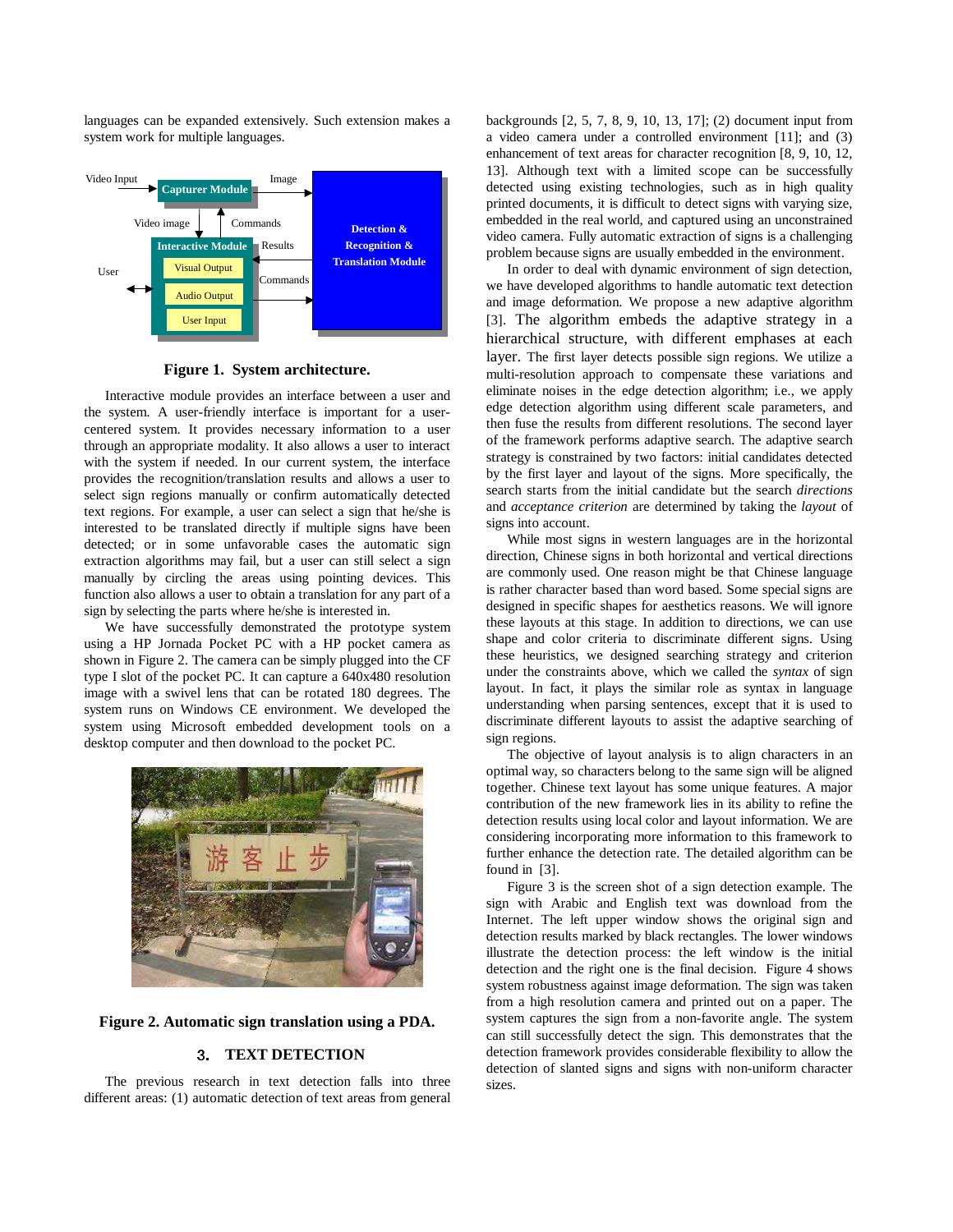languages can be expanded extensively. Such extension makes a system work for multiple languages.



**Figure 1. System architecture.** 

Interactive module provides an interface between a user and the system. A user-friendly interface is important for a usercentered system. It provides necessary information to a user through an appropriate modality. It also allows a user to interact with the system if needed. In our current system, the interface provides the recognition/translation results and allows a user to select sign regions manually or confirm automatically detected text regions. For example, a user can select a sign that he/she is interested to be translated directly if multiple signs have been detected; or in some unfavorable cases the automatic sign extraction algorithms may fail, but a user can still select a sign manually by circling the areas using pointing devices. This function also allows a user to obtain a translation for any part of a sign by selecting the parts where he/she is interested in.

We have successfully demonstrated the prototype system using a HP Jornada Pocket PC with a HP pocket camera as shown in Figure 2. The camera can be simply plugged into the CF type I slot of the pocket PC. It can capture a 640x480 resolution image with a swivel lens that can be rotated 180 degrees. The system runs on Windows CE environment. We developed the system using Microsoft embedded development tools on a desktop computer and then download to the pocket PC.



**Figure 2. Automatic sign translation using a PDA.** 

# **TEXT DETECTION**

The previous research in text detection falls into three different areas: (1) automatic detection of text areas from general backgrounds [2, 5, 7, 8, 9, 10, 13, 17]; (2) document input from a video camera under a controlled environment [11]; and (3) enhancement of text areas for character recognition [8, 9, 10, 12, 13]. Although text with a limited scope can be successfully detected using existing technologies, such as in high quality printed documents, it is difficult to detect signs with varying size, embedded in the real world, and captured using an unconstrained video camera. Fully automatic extraction of signs is a challenging problem because signs are usually embedded in the environment.

In order to deal with dynamic environment of sign detection, we have developed algorithms to handle automatic text detection and image deformation. We propose a new adaptive algorithm [3]. The algorithm embeds the adaptive strategy in a hierarchical structure, with different emphases at each layer. The first layer detects possible sign regions. We utilize a multi-resolution approach to compensate these variations and eliminate noises in the edge detection algorithm; i.e., we apply edge detection algorithm using different scale parameters, and then fuse the results from different resolutions. The second layer of the framework performs adaptive search. The adaptive search strategy is constrained by two factors: initial candidates detected by the first layer and layout of the signs. More specifically, the search starts from the initial candidate but the search *directions* and *acceptance criterion* are determined by taking the *layout* of signs into account.

While most signs in western languages are in the horizontal direction, Chinese signs in both horizontal and vertical directions are commonly used. One reason might be that Chinese language is rather character based than word based. Some special signs are designed in specific shapes for aesthetics reasons. We will ignore these layouts at this stage. In addition to directions, we can use shape and color criteria to discriminate different signs. Using these heuristics, we designed searching strategy and criterion under the constraints above, which we called the *syntax* of sign layout. In fact, it plays the similar role as syntax in language understanding when parsing sentences, except that it is used to discriminate different layouts to assist the adaptive searching of sign regions.

The objective of layout analysis is to align characters in an optimal way, so characters belong to the same sign will be aligned together. Chinese text layout has some unique features. A major contribution of the new framework lies in its ability to refine the detection results using local color and layout information. We are considering incorporating more information to this framework to further enhance the detection rate. The detailed algorithm can be found in [3].

Figure 3 is the screen shot of a sign detection example. The sign with Arabic and English text was download from the Internet. The left upper window shows the original sign and detection results marked by black rectangles. The lower windows illustrate the detection process: the left window is the initial detection and the right one is the final decision. Figure 4 shows system robustness against image deformation. The sign was taken from a high resolution camera and printed out on a paper. The system captures the sign from a non-favorite angle. The system can still successfully detect the sign. This demonstrates that the detection framework provides considerable flexibility to allow the detection of slanted signs and signs with non-uniform character sizes.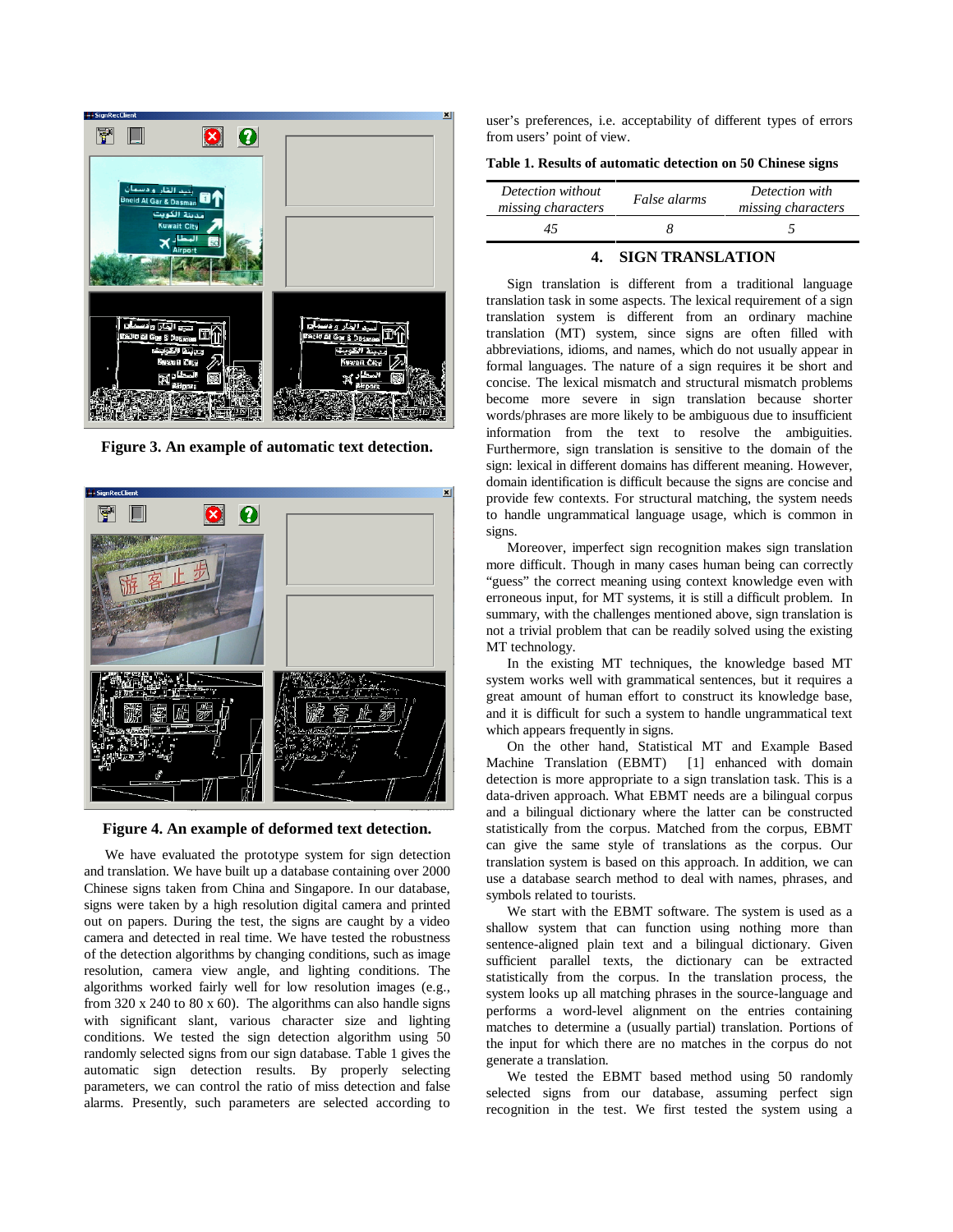

**Figure 3. An example of automatic text detection.** 



**Figure 4. An example of deformed text detection.** 

We have evaluated the prototype system for sign detection and translation. We have built up a database containing over 2000 Chinese signs taken from China and Singapore. In our database, signs were taken by a high resolution digital camera and printed out on papers. During the test, the signs are caught by a video camera and detected in real time. We have tested the robustness of the detection algorithms by changing conditions, such as image resolution, camera view angle, and lighting conditions. The algorithms worked fairly well for low resolution images (e.g., from 320 x 240 to 80 x 60). The algorithms can also handle signs with significant slant, various character size and lighting conditions. We tested the sign detection algorithm using 50 randomly selected signs from our sign database. Table 1 gives the automatic sign detection results. By properly selecting parameters, we can control the ratio of miss detection and false alarms. Presently, such parameters are selected according to

user's preferences, i.e. acceptability of different types of errors from users' point of view.

**Table 1. Results of automatic detection on 50 Chinese signs** 

| Detection without<br>missing characters | False alarms | Detection with<br>missing characters |
|-----------------------------------------|--------------|--------------------------------------|
|                                         |              |                                      |

# **4. SIGN TRANSLATION**

Sign translation is different from a traditional language translation task in some aspects. The lexical requirement of a sign translation system is different from an ordinary machine translation (MT) system, since signs are often filled with abbreviations, idioms, and names, which do not usually appear in formal languages. The nature of a sign requires it be short and concise. The lexical mismatch and structural mismatch problems become more severe in sign translation because shorter words/phrases are more likely to be ambiguous due to insufficient information from the text to resolve the ambiguities. Furthermore, sign translation is sensitive to the domain of the sign: lexical in different domains has different meaning. However, domain identification is difficult because the signs are concise and provide few contexts. For structural matching, the system needs to handle ungrammatical language usage, which is common in signs.

Moreover, imperfect sign recognition makes sign translation more difficult. Though in many cases human being can correctly "guess" the correct meaning using context knowledge even with erroneous input, for MT systems, it is still a difficult problem. In summary, with the challenges mentioned above, sign translation is not a trivial problem that can be readily solved using the existing MT technology.

In the existing MT techniques, the knowledge based MT system works well with grammatical sentences, but it requires a great amount of human effort to construct its knowledge base, and it is difficult for such a system to handle ungrammatical text which appears frequently in signs.

On the other hand, Statistical MT and Example Based Machine Translation (EBMT) [1] enhanced with domain detection is more appropriate to a sign translation task. This is a data-driven approach. What EBMT needs are a bilingual corpus and a bilingual dictionary where the latter can be constructed statistically from the corpus. Matched from the corpus, EBMT can give the same style of translations as the corpus. Our translation system is based on this approach. In addition, we can use a database search method to deal with names, phrases, and symbols related to tourists.

We start with the EBMT software. The system is used as a shallow system that can function using nothing more than sentence-aligned plain text and a bilingual dictionary. Given sufficient parallel texts, the dictionary can be extracted statistically from the corpus. In the translation process, the system looks up all matching phrases in the source-language and performs a word-level alignment on the entries containing matches to determine a (usually partial) translation. Portions of the input for which there are no matches in the corpus do not generate a translation.

We tested the EBMT based method using 50 randomly selected signs from our database, assuming perfect sign recognition in the test. We first tested the system using a